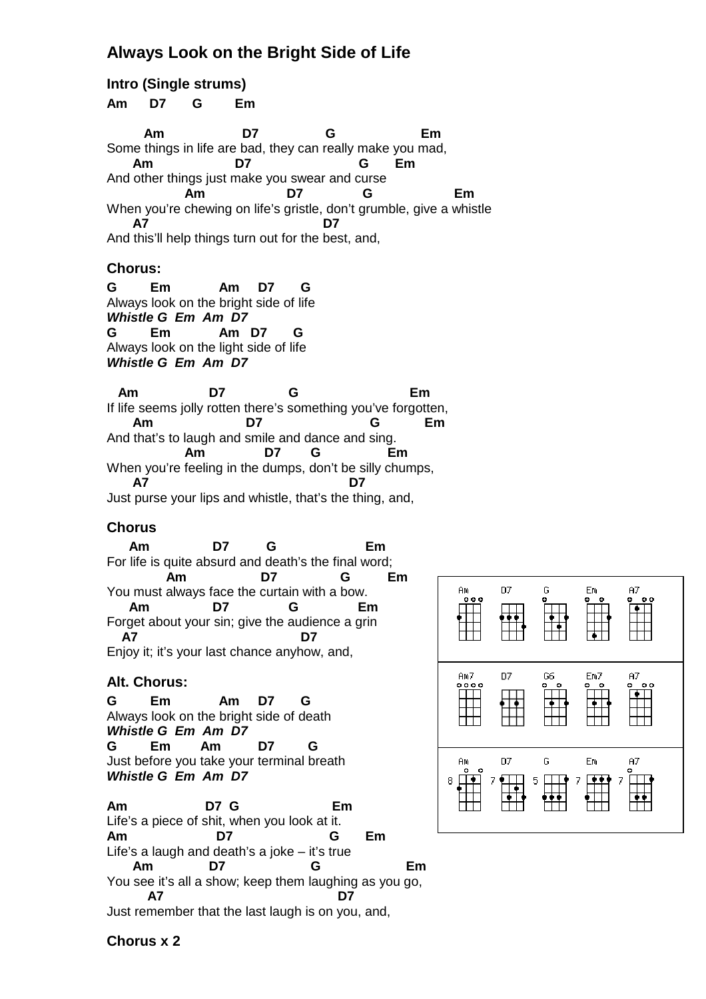## **Always Look on the Bright Side of Life**

**Intro (Single strums) Am D7 G Em Am D7 G Em**  Some things in life are bad, they can really make you mad,  **Am D7 G Em**  And other things just make you swear and curse  **Am D7 G Em**  When you're chewing on life's gristle, don't grumble, give a whistle  **A7 D7**  And this'll help things turn out for the best, and, **Chorus: G Em Am D7 G**  Always look on the bright side of life **Whistle G Em Am D7 G Em Am D7 G**  Always look on the light side of life **Whistle G Em Am D7 Am D7 G Em**  If life seems jolly rotten there's something you've forgotten,  **Am D7 G Em** And that's to laugh and smile and dance and sing.  **Am D7 G Em** When you're feeling in the dumps, don't be silly chumps,  **A7 D7** Just purse your lips and whistle, that's the thing, and, **Chorus Am D7 G Em**  For life is quite absurd and death's the final word;  **Am D7 G Em**  D7 Ğ You must always face the curtain with a bow. ĤM  $000$  **Am D7 G Em** Forget about your sin; give the audience a grin  **A7 D7** Enjoy it; it's your last chance anyhow, and, Am7 D7 G6 **Alt. Chorus:**   $\frac{0.000}{0.000}$ **G Em Am D7 G**  ┯ Always look on the bright side of death **Whistle G Em Am D7 G Em Am D7 G** Just before you take your terminal breath D7 G ĤM **Whistle G Em Am D7**  $\Box$ 8 **Am D7 G Em**  Life's a piece of shit, when you look at it. **Am D7 G Em** Life's a laugh and death's a joke – it's true  **Am D7 G Em** You see it's all a show; keep them laughing as you go,  **A7 D7**

Em

Em7

Em

 $A7$ 

A7

 $A7$ 

Just remember that the last laugh is on you, and,

**Chorus x 2**